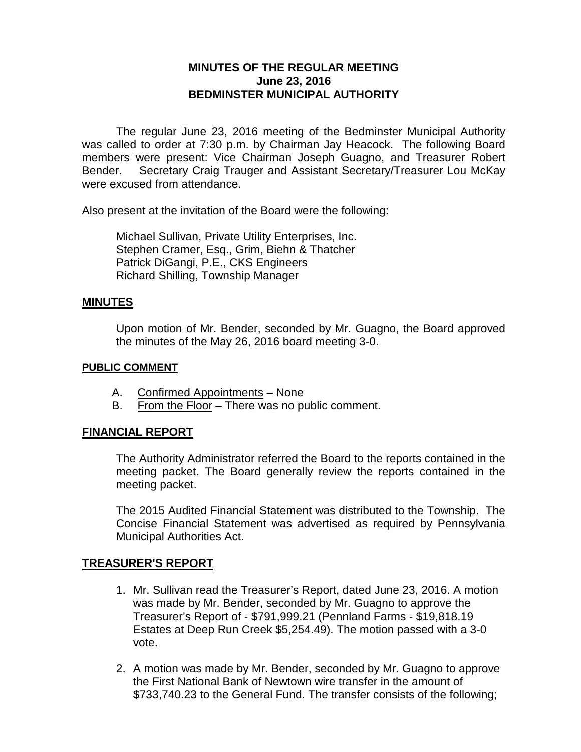# **MINUTES OF THE REGULAR MEETING June 23, 2016 BEDMINSTER MUNICIPAL AUTHORITY**

The regular June 23, 2016 meeting of the Bedminster Municipal Authority was called to order at 7:30 p.m. by Chairman Jay Heacock. The following Board members were present: Vice Chairman Joseph Guagno, and Treasurer Robert Bender. Secretary Craig Trauger and Assistant Secretary/Treasurer Lou McKay were excused from attendance.

Also present at the invitation of the Board were the following:

Michael Sullivan, Private Utility Enterprises, Inc. Stephen Cramer, Esq., Grim, Biehn & Thatcher Patrick DiGangi, P.E., CKS Engineers Richard Shilling, Township Manager

#### **MINUTES**

Upon motion of Mr. Bender, seconded by Mr. Guagno, the Board approved the minutes of the May 26, 2016 board meeting 3-0.

#### **PUBLIC COMMENT**

- A. Confirmed Appointments None
- B. From the Floor There was no public comment.

### **FINANCIAL REPORT**

The Authority Administrator referred the Board to the reports contained in the meeting packet. The Board generally review the reports contained in the meeting packet.

The 2015 Audited Financial Statement was distributed to the Township. The Concise Financial Statement was advertised as required by Pennsylvania Municipal Authorities Act.

### **TREASURER'S REPORT**

- 1. Mr. Sullivan read the Treasurer's Report, dated June 23, 2016. A motion was made by Mr. Bender, seconded by Mr. Guagno to approve the Treasurer's Report of - \$791,999.21 (Pennland Farms - \$19,818.19 Estates at Deep Run Creek \$5,254.49). The motion passed with a 3-0 vote.
- 2. A motion was made by Mr. Bender, seconded by Mr. Guagno to approve the First National Bank of Newtown wire transfer in the amount of \$733,740.23 to the General Fund. The transfer consists of the following;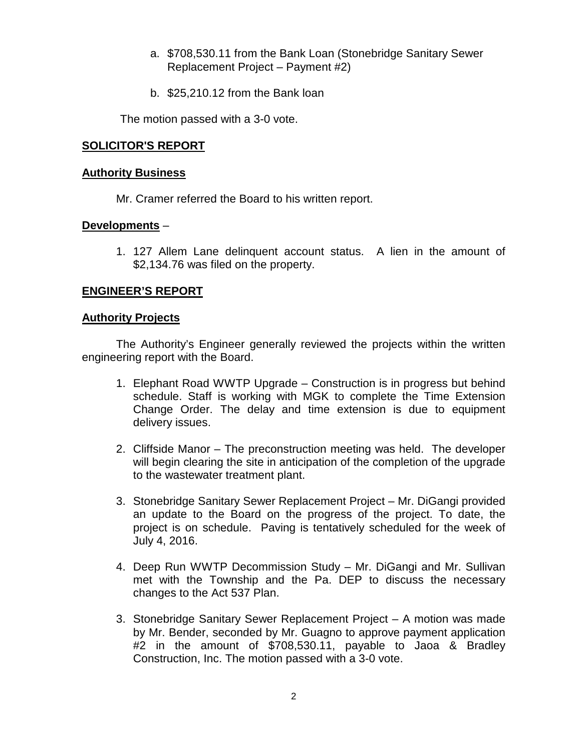- a. \$708,530.11 from the Bank Loan (Stonebridge Sanitary Sewer Replacement Project – Payment #2)
- b. \$25,210.12 from the Bank loan

The motion passed with a 3-0 vote.

### **SOLICITOR'S REPORT**

#### **Authority Business**

Mr. Cramer referred the Board to his written report.

### **Developments** –

1. 127 Allem Lane delinquent account status. A lien in the amount of \$2,134.76 was filed on the property.

## **ENGINEER'S REPORT**

### **Authority Projects**

The Authority's Engineer generally reviewed the projects within the written engineering report with the Board.

- 1. Elephant Road WWTP Upgrade Construction is in progress but behind schedule. Staff is working with MGK to complete the Time Extension Change Order. The delay and time extension is due to equipment delivery issues.
- 2. Cliffside Manor The preconstruction meeting was held. The developer will begin clearing the site in anticipation of the completion of the upgrade to the wastewater treatment plant.
- 3. Stonebridge Sanitary Sewer Replacement Project Mr. DiGangi provided an update to the Board on the progress of the project. To date, the project is on schedule. Paving is tentatively scheduled for the week of July 4, 2016.
- 4. Deep Run WWTP Decommission Study Mr. DiGangi and Mr. Sullivan met with the Township and the Pa. DEP to discuss the necessary changes to the Act 537 Plan.
- 3. Stonebridge Sanitary Sewer Replacement Project A motion was made by Mr. Bender, seconded by Mr. Guagno to approve payment application #2 in the amount of \$708,530.11, payable to Jaoa & Bradley Construction, Inc. The motion passed with a 3-0 vote.